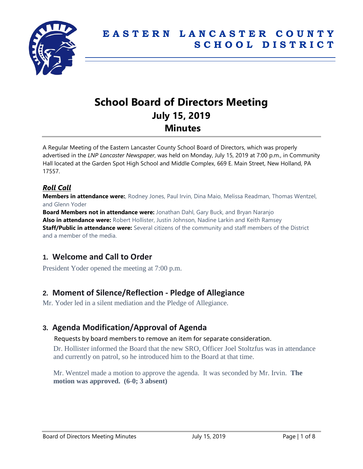

# **School Board of Directors Meeting July 15, 2019 Minutes**

A Regular Meeting of the Eastern Lancaster County School Board of Directors, which was properly advertised in the *LNP Lancaster Newspaper*, was held on Monday, July 15, 2019 at 7:00 p.m., in Community Hall located at the Garden Spot High School and Middle Complex, 669 E. Main Street, New Holland, PA 17557.

### *Roll Call*

**Members in attendance were:**, Rodney Jones, Paul Irvin, Dina Maio, Melissa Readman, Thomas Wentzel, and Glenn Yoder

**Board Members not in attendance were:** Jonathan Dahl, Gary Buck, and Bryan Naranjo **Also in attendance were:** Robert Hollister, Justin Johnson, Nadine Larkin and Keith Ramsey **Staff/Public in attendance were:** Several citizens of the community and staff members of the District and a member of the media.

# **1. Welcome and Call to Order**

President Yoder opened the meeting at 7:00 p.m.

# **2. Moment of Silence/Reflection - Pledge of Allegiance**

Mr. Yoder led in a silent mediation and the Pledge of Allegiance.

# **3. Agenda Modification/Approval of Agenda**

#### Requests by board members to remove an item for separate consideration.

Dr. Hollister informed the Board that the new SRO, Officer Joel Stoltzfus was in attendance and currently on patrol, so he introduced him to the Board at that time.

Mr. Wentzel made a motion to approve the agenda. It was seconded by Mr. Irvin. **The motion was approved. (6-0; 3 absent)**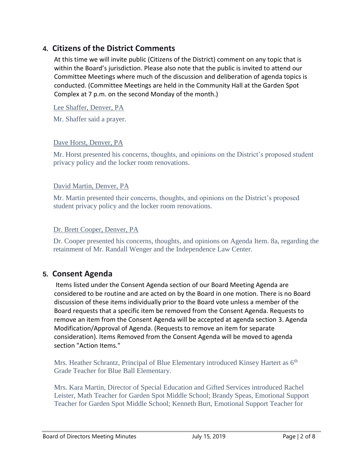# **4. Citizens of the District Comments**

At this time we will invite public (Citizens of the District) comment on any topic that is within the Board's jurisdiction. Please also note that the public is invited to attend our Committee Meetings where much of the discussion and deliberation of agenda topics is conducted. (Committee Meetings are held in the Community Hall at the Garden Spot Complex at 7 p.m. on the second Monday of the month.)

Lee Shaffer, Denver, PA

Mr. Shaffer said a prayer.

#### Dave Horst, Denver, PA

Mr. Horst presented his concerns, thoughts, and opinions on the District's proposed student privacy policy and the locker room renovations.

#### David Martin, Denver, PA

Mr. Martin presented their concerns, thoughts, and opinions on the District's proposed student privacy policy and the locker room renovations.

#### Dr. Brett Cooper, Denver, PA

Dr. Cooper presented his concerns, thoughts, and opinions on Agenda Item. 8a, regarding the retainment of Mr. Randall Wenger and the Independence Law Center.

# **5. Consent Agenda**

Items listed under the Consent Agenda section of our Board Meeting Agenda are considered to be routine and are acted on by the Board in one motion. There is no Board discussion of these items individually prior to the Board vote unless a member of the Board requests that a specific item be removed from the Consent Agenda. Requests to remove an item from the Consent Agenda will be accepted at agenda section 3. Agenda Modification/Approval of Agenda. (Requests to remove an item for separate consideration). Items Removed from the Consent Agenda will be moved to agenda section "Action Items."

Mrs. Heather Schrantz, Principal of Blue Elementary introduced Kinsey Hartert as  $6<sup>th</sup>$ Grade Teacher for Blue Ball Elementary.

Mrs. Kara Martin, Director of Special Education and Gifted Services introduced Rachel Leister, Math Teacher for Garden Spot Middle School; Brandy Speas, Emotional Support Teacher for Garden Spot Middle School; Kenneth Burt, Emotional Support Teacher for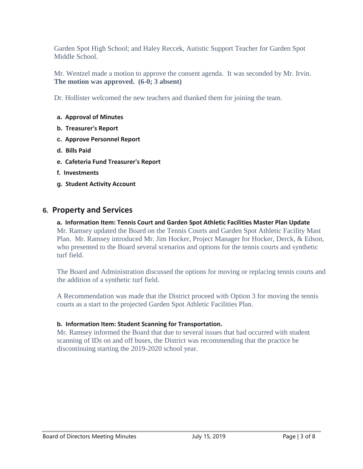Garden Spot High School; and Haley Reccek, Autistic Support Teacher for Garden Spot Middle School.

Mr. Wentzel made a motion to approve the consent agenda. It was seconded by Mr. Irvin. **The motion was approved. (6-0; 3 absent)**

Dr. Hollister welcomed the new teachers and thanked them for joining the team.

- **a. Approval of Minutes**
- **b. Treasurer's Report**
- **c. Approve Personnel Report**
- **d. Bills Paid**
- **e. Cafeteria Fund Treasurer's Report**
- **f. Investments**
- **g. Student Activity Account**

#### **6. Property and Services**

**a. Information Item: Tennis Court and Garden Spot Athletic Facilities Master Plan Update** Mr. Ramsey updated the Board on the Tennis Courts and Garden Spot Athletic Facility Mast Plan. Mr. Ramsey introduced Mr. Jim Hocker, Project Manager for Hocker, Derck, & Edson, who presented to the Board several scenarios and options for the tennis courts and synthetic turf field.

The Board and Administration discussed the options for moving or replacing tennis courts and the addition of a synthetic turf field.

A Recommendation was made that the District proceed with Option 3 for moving the tennis courts as a start to the projected Garden Spot Athletic Facilities Plan.

#### **b. Information Item: Student Scanning for Transportation.**

Mr. Ramsey informed the Board that due to several issues that had occurred with student scanning of IDs on and off buses, the District was recommending that the practice be discontinuing starting the 2019-2020 school year.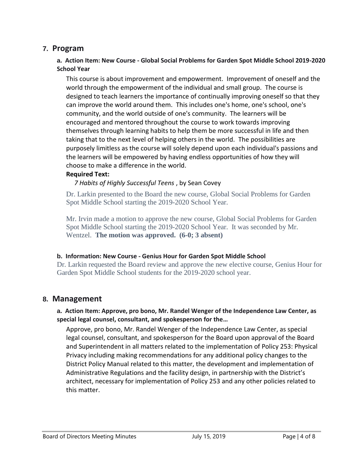### **7. Program**

#### **a. Action Item: New Course - Global Social Problems for Garden Spot Middle School 2019-2020 School Year**

This course is about improvement and empowerment. Improvement of oneself and the world through the empowerment of the individual and small group. The course is designed to teach learners the importance of continually improving oneself so that they can improve the world around them. This includes one's home, one's school, one's community, and the world outside of one's community. The learners will be encouraged and mentored throughout the course to work towards improving themselves through learning habits to help them be more successful in life and then taking that to the next level of helping others in the world. The possibilities are purposely limitless as the course will solely depend upon each individual's passions and the learners will be empowered by having endless opportunities of how they will choose to make a difference in the world.

#### **Required Text:**

#### *7 Habits of Highly Successful Teens* , by Sean Covey

Dr. Larkin presented to the Board the new course, Global Social Problems for Garden Spot Middle School starting the 2019-2020 School Year.

Mr. Irvin made a motion to approve the new course, Global Social Problems for Garden Spot Middle School starting the 2019-2020 School Year. It was seconded by Mr. Wentzel. **The motion was approved. (6-0; 3 absent)**

#### **b. Information: New Course - Genius Hour for Garden Spot Middle School**

Dr. Larkin requested the Board review and approve the new elective course, Genius Hour for Garden Spot Middle School students for the 2019-2020 school year.

### **8. Management**

#### **a. Action Item: Approve, pro bono, Mr. Randel Wenger of the Independence Law Center, as special legal counsel, consultant, and spokesperson for the…**

Approve, pro bono, Mr. Randel Wenger of the Independence Law Center, as special legal counsel, consultant, and spokesperson for the Board upon approval of the Board and Superintendent in all matters related to the implementation of Policy 253: Physical Privacy including making recommendations for any additional policy changes to the District Policy Manual related to this matter, the development and implementation of Administrative Regulations and the facility design, in partnership with the District's architect, necessary for implementation of Policy 253 and any other policies related to this matter.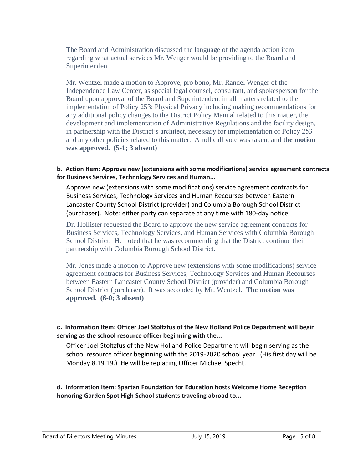The Board and Administration discussed the language of the agenda action item regarding what actual services Mr. Wenger would be providing to the Board and Superintendent.

Mr. Wentzel made a motion to Approve, pro bono, Mr. Randel Wenger of the Independence Law Center, as special legal counsel, consultant, and spokesperson for the Board upon approval of the Board and Superintendent in all matters related to the implementation of Policy 253: Physical Privacy including making recommendations for any additional policy changes to the District Policy Manual related to this matter, the development and implementation of Administrative Regulations and the facility design, in partnership with the District's architect, necessary for implementation of Policy 253 and any other policies related to this matter. A roll call vote was taken, and **the motion was approved. (5-1; 3 absent)** 

#### **b. Action Item: Approve new (extensions with some modifications) service agreement contracts for Business Services, Technology Services and Human...**

Approve new (extensions with some modifications) service agreement contracts for Business Services, Technology Services and Human Recourses between Eastern Lancaster County School District (provider) and Columbia Borough School District (purchaser). Note: either party can separate at any time with 180-day notice.

Dr. Hollister requested the Board to approve the new service agreement contracts for Business Services, Technology Services, and Human Services with Columbia Borough School District. He noted that he was recommending that the District continue their partnership with Columbia Borough School District.

Mr. Jones made a motion to Approve new (extensions with some modifications) service agreement contracts for Business Services, Technology Services and Human Recourses between Eastern Lancaster County School District (provider) and Columbia Borough School District (purchaser). It was seconded by Mr. Wentzel. **The motion was approved. (6-0; 3 absent)**

#### **c. Information Item: Officer Joel Stoltzfus of the New Holland Police Department will begin serving as the school resource officer beginning with the...**

Officer Joel Stoltzfus of the New Holland Police Department will begin serving as the school resource officer beginning with the 2019-2020 school year. (His first day will be Monday 8.19.19.) He will be replacing Officer Michael Specht.

**d. Information Item: Spartan Foundation for Education hosts Welcome Home Reception honoring Garden Spot High School students traveling abroad to...**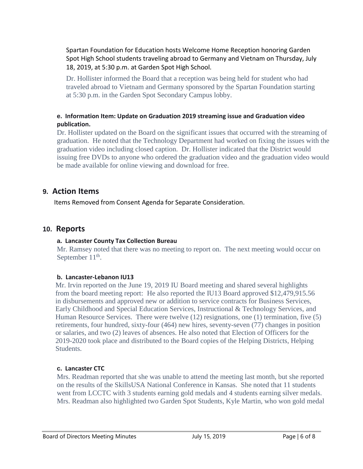Spartan Foundation for Education hosts Welcome Home Reception honoring Garden Spot High School students traveling abroad to Germany and Vietnam on Thursday, July 18, 2019, at 5:30 p.m. at Garden Spot High School.

Dr. Hollister informed the Board that a reception was being held for student who had traveled abroad to Vietnam and Germany sponsored by the Spartan Foundation starting at 5:30 p.m. in the Garden Spot Secondary Campus lobby.

#### **e. Information Item: Update on Graduation 2019 streaming issue and Graduation video publication.**

Dr. Hollister updated on the Board on the significant issues that occurred with the streaming of graduation. He noted that the Technology Department had worked on fixing the issues with the graduation video including closed caption. Dr. Hollister indicated that the District would issuing free DVDs to anyone who ordered the graduation video and the graduation video would be made available for online viewing and download for free.

# **9. Action Items**

Items Removed from Consent Agenda for Separate Consideration.

### **10. Reports**

#### **a. Lancaster County Tax Collection Bureau**

Mr. Ramsey noted that there was no meeting to report on. The next meeting would occur on September  $11^{\text{th}}$ .

#### **b. Lancaster-Lebanon IU13**

Mr. Irvin reported on the June 19, 2019 IU Board meeting and shared several highlights from the board meeting report: He also reported the IU13 Board approved \$12,479,915.56 in disbursements and approved new or addition to service contracts for Business Services, Early Childhood and Special Education Services, Instructional & Technology Services, and Human Resource Services. There were twelve (12) resignations, one (1) termination, five (5) retirements, four hundred, sixty-four (464) new hires, seventy-seven (77) changes in position or salaries, and two (2) leaves of absences. He also noted that Election of Officers for the 2019-2020 took place and distributed to the Board copies of the Helping Districts, Helping **Students** 

#### **c. Lancaster CTC**

Mrs. Readman reported that she was unable to attend the meeting last month, but she reported on the results of the SkillsUSA National Conference in Kansas. She noted that 11 students went from LCCTC with 3 students earning gold medals and 4 students earning silver medals. Mrs. Readman also highlighted two Garden Spot Students, Kyle Martin, who won gold medal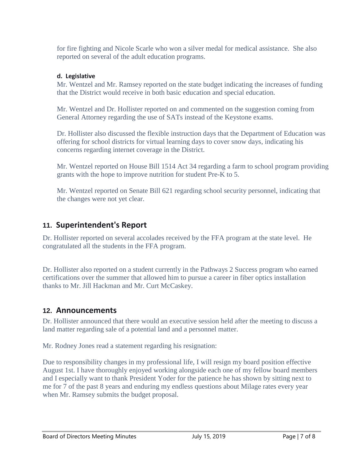for fire fighting and Nicole Scarle who won a silver medal for medical assistance. She also reported on several of the adult education programs.

#### **d. Legislative**

Mr. Wentzel and Mr. Ramsey reported on the state budget indicating the increases of funding that the District would receive in both basic education and special education.

Mr. Wentzel and Dr. Hollister reported on and commented on the suggestion coming from General Attorney regarding the use of SATs instead of the Keystone exams.

Dr. Hollister also discussed the flexible instruction days that the Department of Education was offering for school districts for virtual learning days to cover snow days, indicating his concerns regarding internet coverage in the District.

Mr. Wentzel reported on House Bill 1514 Act 34 regarding a farm to school program providing grants with the hope to improve nutrition for student Pre-K to 5.

Mr. Wentzel reported on Senate Bill 621 regarding school security personnel, indicating that the changes were not yet clear.

# **11. Superintendent's Report**

Dr. Hollister reported on several accolades received by the FFA program at the state level. He congratulated all the students in the FFA program.

Dr. Hollister also reported on a student currently in the Pathways 2 Success program who earned certifications over the summer that allowed him to pursue a career in fiber optics installation thanks to Mr. Jill Hackman and Mr. Curt McCaskey.

# **12. Announcements**

Dr. Hollister announced that there would an executive session held after the meeting to discuss a land matter regarding sale of a potential land and a personnel matter.

Mr. Rodney Jones read a statement regarding his resignation:

Due to responsibility changes in my professional life, I will resign my board position effective August 1st. I have thoroughly enjoyed working alongside each one of my fellow board members and I especially want to thank President Yoder for the patience he has shown by sitting next to me for 7 of the past 8 years and enduring my endless questions about Milage rates every year when Mr. Ramsey submits the budget proposal.